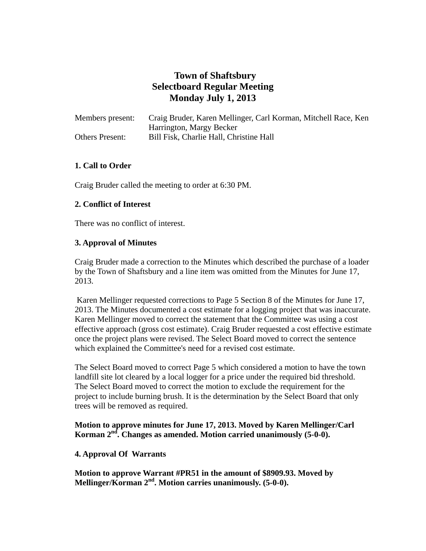# **Town of Shaftsbury Selectboard Regular Meeting Monday July 1, 2013**

| Members present:       | Craig Bruder, Karen Mellinger, Carl Korman, Mitchell Race, Ken |
|------------------------|----------------------------------------------------------------|
|                        | Harrington, Margy Becker                                       |
| <b>Others Present:</b> | Bill Fisk, Charlie Hall, Christine Hall                        |

# **1. Call to Order**

Craig Bruder called the meeting to order at 6:30 PM.

# **2. Conflict of Interest**

There was no conflict of interest.

# **3. Approval of Minutes**

 Craig Bruder made a correction to the Minutes which described the purchase of a loader by the Town of Shaftsbury and a line item was omitted from the Minutes for June 17, 2013.

Karen Mellinger requested corrections to Page 5 Section 8 of the Minutes for June 17, 2013. The Minutes documented a cost estimate for a logging project that was inaccurate. Karen Mellinger moved to correct the statement that the Committee was using a cost effective approach (gross cost estimate). Craig Bruder requested a cost effective estimate once the project plans were revised. The Select Board moved to correct the sentence which explained the Committee's need for a revised cost estimate.

 The Select Board moved to correct Page 5 which considered a motion to have the town landfill site lot cleared by a local logger for a price under the required bid threshold. The Select Board moved to correct the motion to exclude the requirement for the project to include burning brush. It is the determination by the Select Board that only trees will be removed as required.

# **Motion to approve minutes for June 17, 2013. Moved by Karen Mellinger/Carl Korman 2nd. Changes as amended. Motion carried unanimously (5-0-0).**

## **4. Approval Of Warrants**

**Motion to approve Warrant #PR51 in the amount of \$8909.93. Moved by Mellinger/Korman 2nd. Motion carries unanimously. (5-0-0).**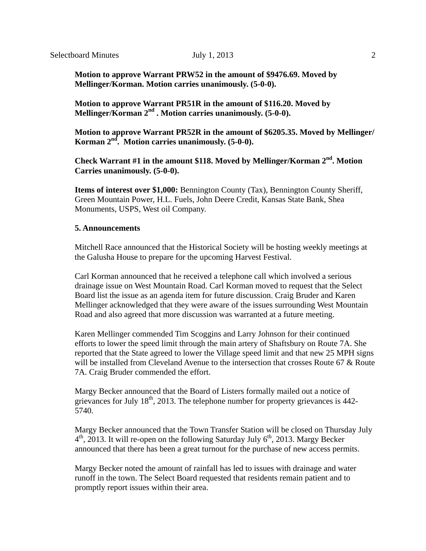**Motion to approve Warrant PRW52 in the amount of \$9476.69. Moved by Mellinger/Korman. Motion carries unanimously. (5-0-0).** 

 **Motion to approve Warrant PR51R in the amount of \$116.20. Moved by Mellinger/Korman 2nd . Motion carries unanimously. (5-0-0).** 

 **Motion to approve Warrant PR52R in the amount of \$6205.35. Moved by Mellinger/ Korman 2nd. Motion carries unanimously. (5-0-0).**

**Check Warrant #1 in the amount \$118. Moved by Mellinger/Korman 2nd. Motion Carries unanimously. (5-0-0).**

 **Items of interest over \$1,000:** Bennington County (Tax), Bennington County Sheriff, Green Mountain Power, H.L. Fuels, John Deere Credit, Kansas State Bank, Shea Monuments, USPS, West oil Company.

#### **5. Announcements**

Mitchell Race announced that the Historical Society will be hosting weekly meetings at the Galusha House to prepare for the upcoming Harvest Festival.

 Carl Korman announced that he received a telephone call which involved a serious drainage issue on West Mountain Road. Carl Korman moved to request that the Select Board list the issue as an agenda item for future discussion. Craig Bruder and Karen Mellinger acknowledged that they were aware of the issues surrounding West Mountain Road and also agreed that more discussion was warranted at a future meeting.

Karen Mellinger commended Tim Scoggins and Larry Johnson for their continued efforts to lower the speed limit through the main artery of Shaftsbury on Route 7A. She reported that the State agreed to lower the Village speed limit and that new 25 MPH signs will be installed from Cleveland Avenue to the intersection that crosses Route 67 & Route 7A. Craig Bruder commended the effort.

 Margy Becker announced that the Board of Listers formally mailed out a notice of grievances for July  $18<sup>th</sup>$ , 2013. The telephone number for property grievances is 442-5740.

 Margy Becker announced that the Town Transfer Station will be closed on Thursday July  $4<sup>th</sup>$ , 2013. It will re-open on the following Saturday July  $6<sup>th</sup>$ , 2013. Margy Becker announced that there has been a great turnout for the purchase of new access permits.

Margy Becker noted the amount of rainfall has led to issues with drainage and water runoff in the town. The Select Board requested that residents remain patient and to promptly report issues within their area.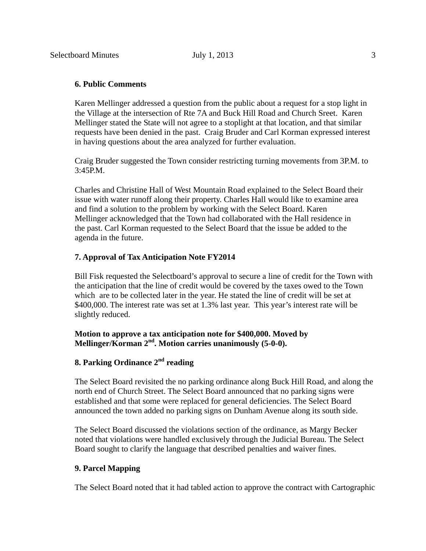#### **6. Public Comments**

Karen Mellinger addressed a question from the public about a request for a stop light in the Village at the intersection of Rte 7A and Buck Hill Road and Church Sreet. Karen Mellinger stated the State will not agree to a stoplight at that location, and that similar requests have been denied in the past. Craig Bruder and Carl Korman expressed interest in having questions about the area analyzed for further evaluation.

Craig Bruder suggested the Town consider restricting turning movements from 3P.M. to 3:45P.M.

 Charles and Christine Hall of West Mountain Road explained to the Select Board their issue with water runoff along their property. Charles Hall would like to examine area and find a solution to the problem by working with the Select Board. Karen Mellinger acknowledged that the Town had collaborated with the Hall residence in the past. Carl Korman requested to the Select Board that the issue be added to the agenda in the future.

#### **7. Approval of Tax Anticipation Note FY2014**

Bill Fisk requested the Selectboard's approval to secure a line of credit for the Town with the anticipation that the line of credit would be covered by the taxes owed to the Town which are to be collected later in the year. He stated the line of credit will be set at \$400,000. The interest rate was set at 1.3% last year. This year's interest rate will be slightly reduced.

## **Motion to approve a tax anticipation note for \$400,000. Moved by Mellinger/Korman 2nd. Motion carries unanimously (5-0-0).**

# **8. Parking Ordinance 2nd reading**

 The Select Board revisited the no parking ordinance along Buck Hill Road, and along the north end of Church Street. The Select Board announced that no parking signs were established and that some were replaced for general deficiencies. The Select Board announced the town added no parking signs on Dunham Avenue along its south side.

 The Select Board discussed the violations section of the ordinance, as Margy Becker noted that violations were handled exclusively through the Judicial Bureau. The Select Board sought to clarify the language that described penalties and waiver fines.

#### **9. Parcel Mapping**

The Select Board noted that it had tabled action to approve the contract with Cartographic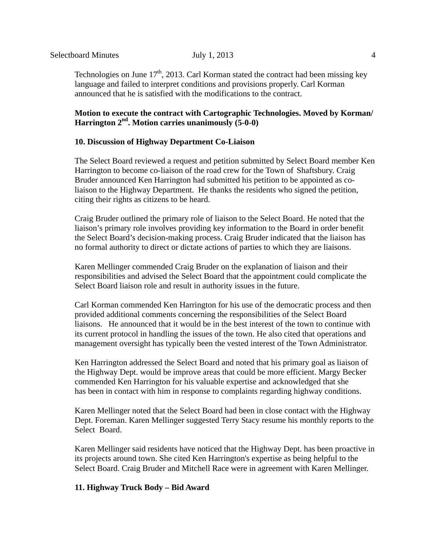Technologies on June  $17<sup>th</sup>$ , 2013. Carl Korman stated the contract had been missing key language and failed to interpret conditions and provisions properly. Carl Korman announced that he is satisfied with the modifications to the contract.

# **Motion to execute the contract with Cartographic Technologies. Moved by Korman/ Harrington 2nd. Motion carries unanimously (5-0-0)**

# **10. Discussion of Highway Department Co-Liaison**

The Select Board reviewed a request and petition submitted by Select Board member Ken Harrington to become co-liaison of the road crew for the Town of Shaftsbury. Craig Bruder announced Ken Harrington had submitted his petition to be appointed as coliaison to the Highway Department. He thanks the residents who signed the petition, citing their rights as citizens to be heard.

Craig Bruder outlined the primary role of liaison to the Select Board. He noted that the liaison's primary role involves providing key information to the Board in order benefit the Select Board's decision-making process. Craig Bruder indicated that the liaison has no formal authority to direct or dictate actions of parties to which they are liaisons.

 Karen Mellinger commended Craig Bruder on the explanation of liaison and their responsibilities and advised the Select Board that the appointment could complicate the Select Board liaison role and result in authority issues in the future.

Carl Korman commended Ken Harrington for his use of the democratic process and then provided additional comments concerning the responsibilities of the Select Board liaisons. He announced that it would be in the best interest of the town to continue with its current protocol in handling the issues of the town. He also cited that operations and management oversight has typically been the vested interest of the Town Administrator.

 Ken Harrington addressed the Select Board and noted that his primary goal as liaison of the Highway Dept. would be improve areas that could be more efficient. Margy Becker commended Ken Harrington for his valuable expertise and acknowledged that she has been in contact with him in response to complaints regarding highway conditions.

Karen Mellinger noted that the Select Board had been in close contact with the Highway Dept. Foreman. Karen Mellinger suggested Terry Stacy resume his monthly reports to the Select Board.

Karen Mellinger said residents have noticed that the Highway Dept. has been proactive in its projects around town. She cited Ken Harrington's expertise as being helpful to the Select Board. Craig Bruder and Mitchell Race were in agreement with Karen Mellinger.

## **11. Highway Truck Body – Bid Award**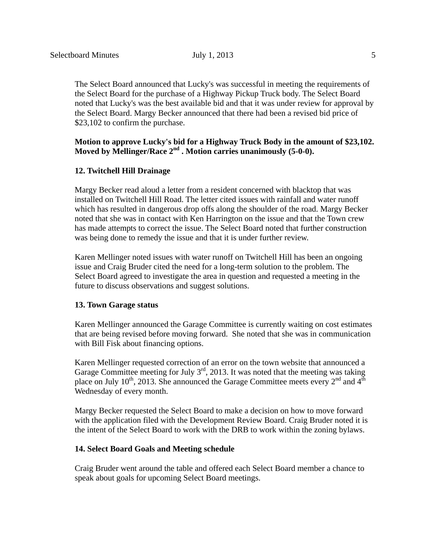The Select Board announced that Lucky's was successful in meeting the requirements of the Select Board for the purchase of a Highway Pickup Truck body. The Select Board noted that Lucky's was the best available bid and that it was under review for approval by the Select Board. Margy Becker announced that there had been a revised bid price of \$23,102 to confirm the purchase.

# **Motion to approve Lucky's bid for a Highway Truck Body in the amount of \$23,102.**  Moved by Mellinger/Race 2<sup>nd</sup> . Motion carries unanimously (5-0-0).

#### **12. Twitchell Hill Drainage**

Margy Becker read aloud a letter from a resident concerned with blacktop that was installed on Twitchell Hill Road. The letter cited issues with rainfall and water runoff which has resulted in dangerous drop offs along the shoulder of the road. Margy Becker noted that she was in contact with Ken Harrington on the issue and that the Town crew has made attempts to correct the issue. The Select Board noted that further construction was being done to remedy the issue and that it is under further review.

 Karen Mellinger noted issues with water runoff on Twitchell Hill has been an ongoing issue and Craig Bruder cited the need for a long-term solution to the problem. The Select Board agreed to investigate the area in question and requested a meeting in the future to discuss observations and suggest solutions.

#### **13. Town Garage status**

Karen Mellinger announced the Garage Committee is currently waiting on cost estimates that are being revised before moving forward. She noted that she was in communication with Bill Fisk about financing options.

Karen Mellinger requested correction of an error on the town website that announced a Garage Committee meeting for July  $3<sup>rd</sup>$ , 2013. It was noted that the meeting was taking place on July 10<sup>th</sup>, 2013. She announced the Garage Committee meets every  $2<sup>nd</sup>$  and  $4<sup>th</sup>$ Wednesday of every month.

 Margy Becker requested the Select Board to make a decision on how to move forward with the application filed with the Development Review Board. Craig Bruder noted it is the intent of the Select Board to work with the DRB to work within the zoning bylaws.

#### **14. Select Board Goals and Meeting schedule**

 Craig Bruder went around the table and offered each Select Board member a chance to speak about goals for upcoming Select Board meetings.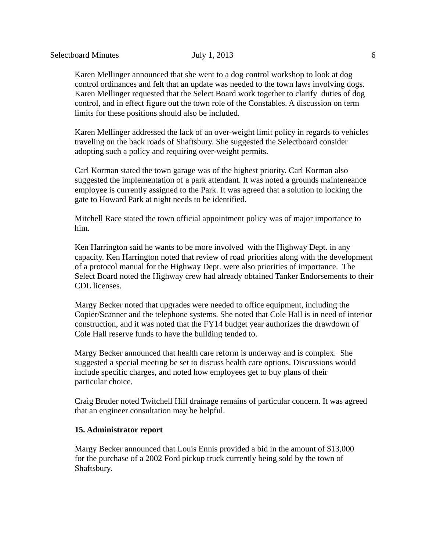Karen Mellinger announced that she went to a dog control workshop to look at dog control ordinances and felt that an update was needed to the town laws involving dogs. Karen Mellinger requested that the Select Board work together to clarify duties of dog control, and in effect figure out the town role of the Constables. A discussion on term limits for these positions should also be included.

Karen Mellinger addressed the lack of an over-weight limit policy in regards to vehicles traveling on the back roads of Shaftsbury. She suggested the Selectboard consider adopting such a policy and requiring over-weight permits.

Carl Korman stated the town garage was of the highest priority. Carl Korman also suggested the implementation of a park attendant. It was noted a grounds mainteneance employee is currently assigned to the Park. It was agreed that a solution to locking the gate to Howard Park at night needs to be identified.

Mitchell Race stated the town official appointment policy was of major importance to him.

Ken Harrington said he wants to be more involved with the Highway Dept. in any capacity. Ken Harrington noted that review of road priorities along with the development of a protocol manual for the Highway Dept. were also priorities of importance. The Select Board noted the Highway crew had already obtained Tanker Endorsements to their CDL licenses.

 Margy Becker noted that upgrades were needed to office equipment, including the Copier/Scanner and the telephone systems. She noted that Cole Hall is in need of interior construction, and it was noted that the FY14 budget year authorizes the drawdown of Cole Hall reserve funds to have the building tended to.

Margy Becker announced that health care reform is underway and is complex. She suggested a special meeting be set to discuss health care options. Discussions would include specific charges, and noted how employees get to buy plans of their particular choice.

Craig Bruder noted Twitchell Hill drainage remains of particular concern. It was agreed that an engineer consultation may be helpful.

#### **15. Administrator report**

 Margy Becker announced that Louis Ennis provided a bid in the amount of \$13,000 for the purchase of a 2002 Ford pickup truck currently being sold by the town of Shaftsbury.